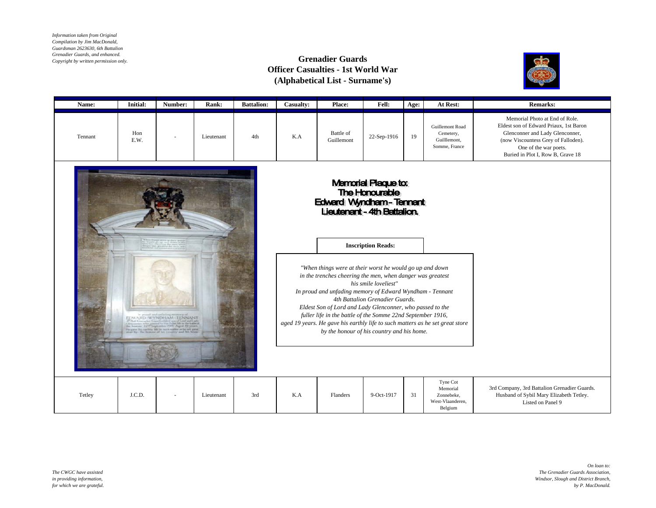*Information taken from Original Compilation by Jim MacDonald, Guardsman 2623630, 6th Battalion Grenadier Guards, and enhanced. Copyright by written permission only.*

## **Grenadier Guards Officer Casualties - 1st World War (Alphabetical List - Surname's)**



| Name:   | <b>Initial:</b> | Number:                                                               | Rank:      | <b>Battalion:</b> | Casualty: | Place:                                                                                                                                                                                                                                                                                                                                                                                                                                        | Fell:                                                              | Age: | At Rest:                                                             | <b>Remarks:</b>                                                                                                                                                                                                  |
|---------|-----------------|-----------------------------------------------------------------------|------------|-------------------|-----------|-----------------------------------------------------------------------------------------------------------------------------------------------------------------------------------------------------------------------------------------------------------------------------------------------------------------------------------------------------------------------------------------------------------------------------------------------|--------------------------------------------------------------------|------|----------------------------------------------------------------------|------------------------------------------------------------------------------------------------------------------------------------------------------------------------------------------------------------------|
| Tennant | Hon<br>E.W.     |                                                                       | Lieutenant | 4th               | K.A       | Battle of<br>Guillemont                                                                                                                                                                                                                                                                                                                                                                                                                       | 22-Sep-1916                                                        | 19   | <b>Guillemont Road</b><br>Cemetery,<br>Guilllemont,<br>Somme, France | Memorial Photo at End of Role.<br>Eldest son of Edward Priaux, 1st Baron<br>Glenconner and Lady Glenconner,<br>(now Viscountess Grey of Falloden).<br>One of the war poets.<br>Buried in Plot I, Row B, Grave 18 |
|         |                 |                                                                       |            |                   |           | Edward Wyndham-Tennant<br>Lieutenant-4th Battalion.                                                                                                                                                                                                                                                                                                                                                                                           | Memorial Plaque to:<br>The Honourable<br><b>Inscription Reads:</b> |      |                                                                      |                                                                                                                                                                                                                  |
|         |                 | EDWARD WYNDHAM - TENNANT<br>earthly life to just niffer at he set gui |            |                   |           | "When things were at their worst he would go up and down<br>in the trenches cheering the men, when danger was greatest<br>In proud and unfading memory of Edward Wyndham - Tennant<br>Eldest Son of Lord and Lady Glenconner, who passed to the<br>fuller life in the battle of the Somme 22nd September 1916,<br>aged 19 years. He gave his earthly life to such matters as he set great store<br>by the honour of his country and his home. | his smile loveliest"<br>4th Battalion Grenadier Guards.            |      |                                                                      |                                                                                                                                                                                                                  |
| Tetley  | J.C.D.          |                                                                       | Lieutenant | 3rd               | K.A       | Flanders                                                                                                                                                                                                                                                                                                                                                                                                                                      | 9-Oct-1917                                                         | 31   | Tyne Cot<br>Memorial<br>Zonnebeke.<br>West-Vlaanderen,<br>Belgium    | 3rd Company, 3rd Battalion Grenadier Guards.<br>Husband of Sybil Mary Elizabeth Tetley.<br>Listed on Panel 9                                                                                                     |